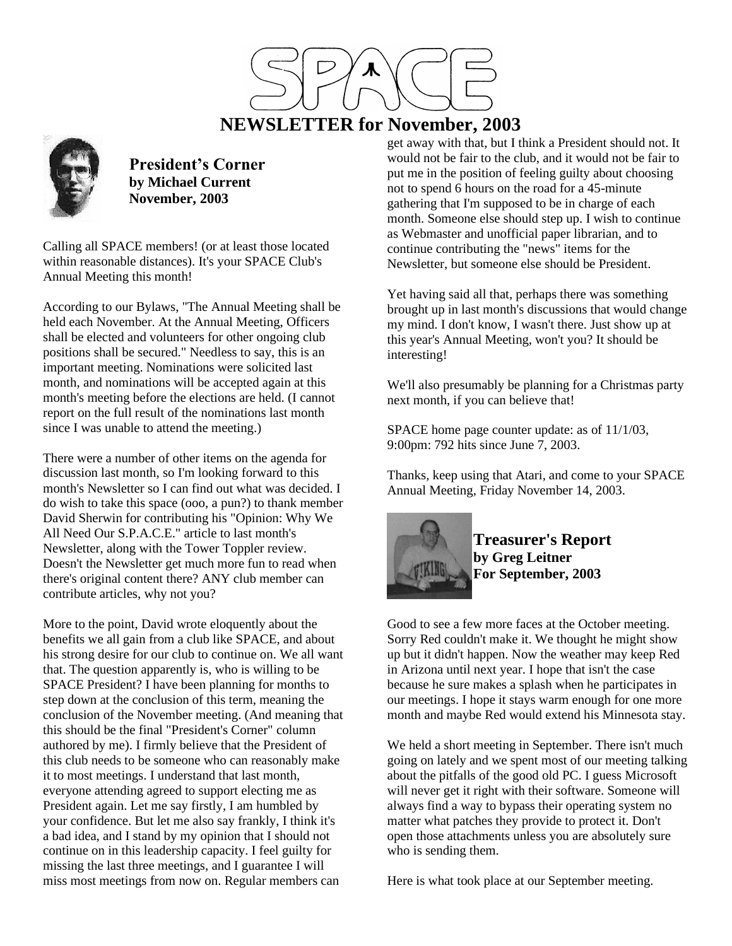

# **NEWSLETTER for November, 2003**



**President's Corner by Michael Current November, 2003**

Calling all SPACE members! (or at least those located within reasonable distances). It's your SPACE Club's Annual Meeting this month!

According to our Bylaws, "The Annual Meeting shall be held each November. At the Annual Meeting, Officers shall be elected and volunteers for other ongoing club positions shall be secured." Needless to say, this is an important meeting. Nominations were solicited last month, and nominations will be accepted again at this month's meeting before the elections are held. (I cannot report on the full result of the nominations last month since I was unable to attend the meeting.)

There were a number of other items on the agenda for discussion last month, so I'm looking forward to this month's Newsletter so I can find out what was decided. I do wish to take this space (ooo, a pun?) to thank member David Sherwin for contributing his "Opinion: Why We All Need Our S.P.A.C.E." article to last month's Newsletter, along with the Tower Toppler review. Doesn't the Newsletter get much more fun to read when there's original content there? ANY club member can contribute articles, why not you?

More to the point, David wrote eloquently about the benefits we all gain from a club like SPACE, and about his strong desire for our club to continue on. We all want that. The question apparently is, who is willing to be SPACE President? I have been planning for months to step down at the conclusion of this term, meaning the conclusion of the November meeting. (And meaning that this should be the final "President's Corner" column authored by me). I firmly believe that the President of this club needs to be someone who can reasonably make it to most meetings. I understand that last month, everyone attending agreed to support electing me as President again. Let me say firstly, I am humbled by your confidence. But let me also say frankly, I think it's a bad idea, and I stand by my opinion that I should not continue on in this leadership capacity. I feel guilty for missing the last three meetings, and I guarantee I will miss most meetings from now on. Regular members can

get away with that, but I think a President should not. It would not be fair to the club, and it would not be fair to put me in the position of feeling guilty about choosing not to spend 6 hours on the road for a 45-minute gathering that I'm supposed to be in charge of each month. Someone else should step up. I wish to continue as Webmaster and unofficial paper librarian, and to continue contributing the "news" items for the Newsletter, but someone else should be President.

Yet having said all that, perhaps there was something brought up in last month's discussions that would change my mind. I don't know, I wasn't there. Just show up at this year's Annual Meeting, won't you? It should be interesting!

We'll also presumably be planning for a Christmas party next month, if you can believe that!

SPACE home page counter update: as of 11/1/03, 9:00pm: 792 hits since June 7, 2003.

Thanks, keep using that Atari, and come to your SPACE Annual Meeting, Friday November 14, 2003.



**Treasurer's Report by Greg Leitner For September, 2003**

Good to see a few more faces at the October meeting. Sorry Red couldn't make it. We thought he might show up but it didn't happen. Now the weather may keep Red in Arizona until next year. I hope that isn't the case because he sure makes a splash when he participates in our meetings. I hope it stays warm enough for one more month and maybe Red would extend his Minnesota stay.

We held a short meeting in September. There isn't much going on lately and we spent most of our meeting talking about the pitfalls of the good old PC. I guess Microsoft will never get it right with their software. Someone will always find a way to bypass their operating system no matter what patches they provide to protect it. Don't open those attachments unless you are absolutely sure who is sending them.

Here is what took place at our September meeting.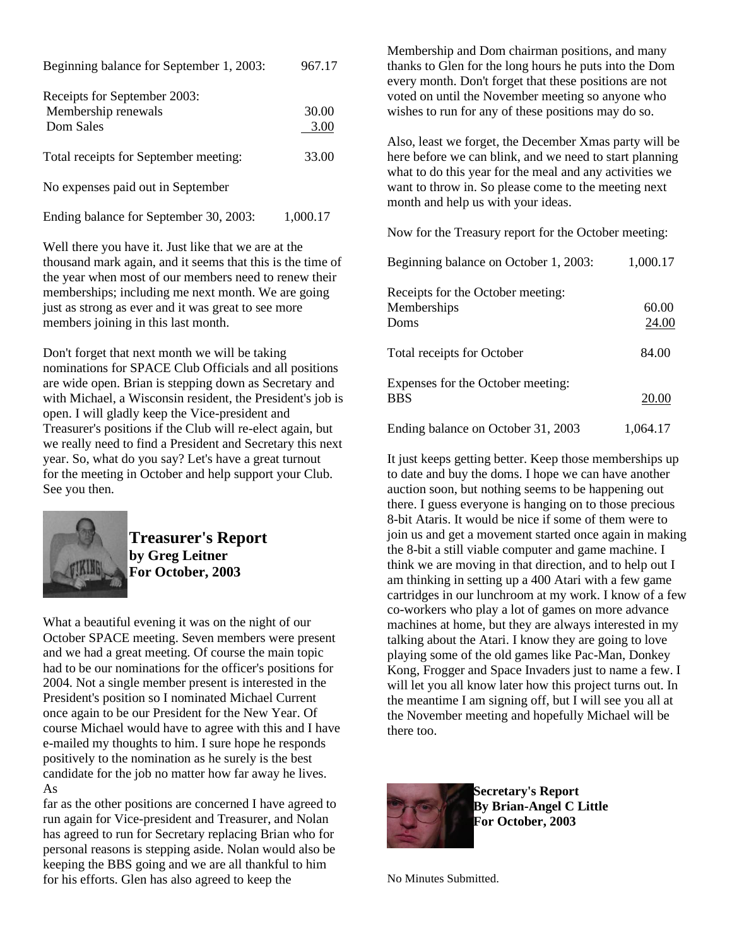| Beginning balance for September 1, 2003: | 967.17 |
|------------------------------------------|--------|
| Receipts for September 2003:             |        |
| Membership renewals                      | 30.00  |
| Dom Sales                                | 3.00   |
| Total receipts for September meeting:    | 33.00  |

No expenses paid out in September

Ending balance for September 30, 2003: 1,000.17

Well there you have it. Just like that we are at the thousand mark again, and it seems that this is the time of the year when most of our members need to renew their memberships; including me next month. We are going just as strong as ever and it was great to see more members joining in this last month.

Don't forget that next month we will be taking nominations for SPACE Club Officials and all positions are wide open. Brian is stepping down as Secretary and with Michael, a Wisconsin resident, the President's job is open. I will gladly keep the Vice-president and Treasurer's positions if the Club will re-elect again, but we really need to find a President and Secretary this next year. So, what do you say? Let's have a great turnout for the meeting in October and help support your Club. See you then.



**Treasurer's Report by Greg Leitner For October, 2003**

What a beautiful evening it was on the night of our October SPACE meeting. Seven members were present and we had a great meeting. Of course the main topic had to be our nominations for the officer's positions for 2004. Not a single member present is interested in the President's position so I nominated Michael Current once again to be our President for the New Year. Of course Michael would have to agree with this and I have e-mailed my thoughts to him. I sure hope he responds positively to the nomination as he surely is the best candidate for the job no matter how far away he lives. As

far as the other positions are concerned I have agreed to run again for Vice-president and Treasurer, and Nolan has agreed to run for Secretary replacing Brian who for personal reasons is stepping aside. Nolan would also be keeping the BBS going and we are all thankful to him for his efforts. Glen has also agreed to keep the

Membership and Dom chairman positions, and many thanks to Glen for the long hours he puts into the Dom every month. Don't forget that these positions are not voted on until the November meeting so anyone who wishes to run for any of these positions may do so.

Also, least we forget, the December Xmas party will be here before we can blink, and we need to start planning what to do this year for the meal and any activities we want to throw in. So please come to the meeting next month and help us with your ideas.

Now for the Treasury report for the October meeting:

| Beginning balance on October 1, 2003:                    | 1,000.17       |
|----------------------------------------------------------|----------------|
| Receipts for the October meeting:<br>Memberships<br>Doms | 60.00<br>24.00 |
| Total receipts for October                               | 84.00          |
| Expenses for the October meeting:<br><b>BBS</b>          | 20.00          |
| Ending balance on October 31, 2003                       | 1,064.17       |

It just keeps getting better. Keep those memberships up to date and buy the doms. I hope we can have another auction soon, but nothing seems to be happening out there. I guess everyone is hanging on to those precious 8-bit Ataris. It would be nice if some of them were to join us and get a movement started once again in making the 8-bit a still viable computer and game machine. I think we are moving in that direction, and to help out I am thinking in setting up a 400 Atari with a few game cartridges in our lunchroom at my work. I know of a few co-workers who play a lot of games on more advance machines at home, but they are always interested in my talking about the Atari. I know they are going to love playing some of the old games like Pac-Man, Donkey Kong, Frogger and Space Invaders just to name a few. I will let you all know later how this project turns out. In the meantime I am signing off, but I will see you all at the November meeting and hopefully Michael will be there too.



**Secretary's Report By Brian-Angel C Little For October, 2003**

No Minutes Submitted.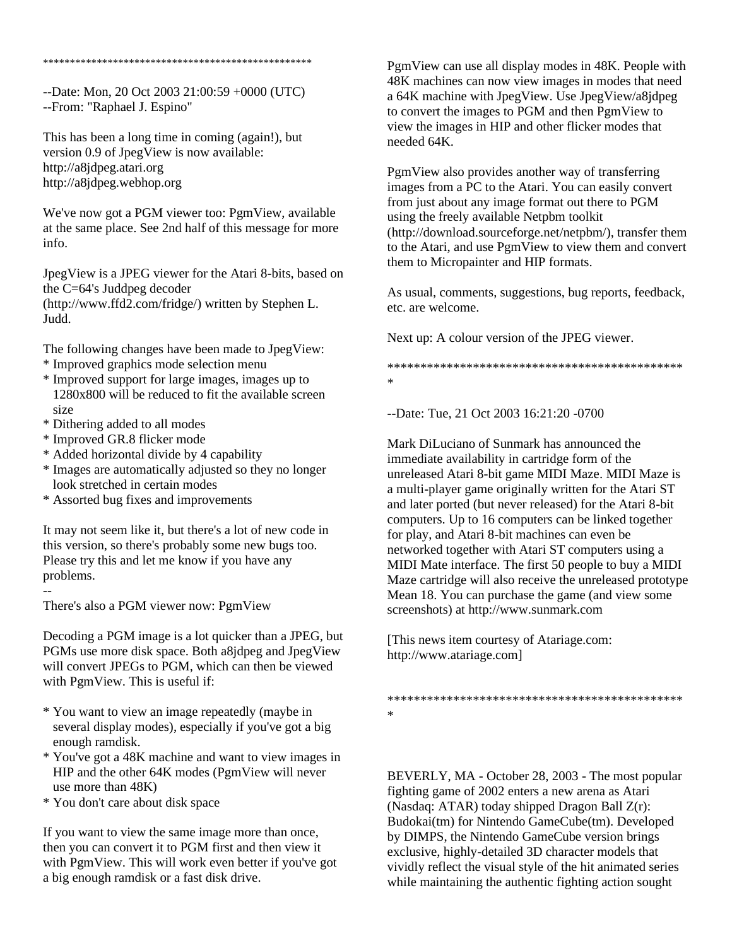\*\*\*\*\*\*\*\*\*\*\*\*\*\*\*\*\*\*\*\*\*\*\*\*\*\*\*\*\*\*\*\*\*\*\*\*\*\*\*\*\*\*\*\*\*\*\*\*\*\*

--Date: Mon, 20 Oct 2003 21:00:59 +0000 (UTC) --From: "Raphael J. Espino"

This has been a long time in coming (again!), but version 0.9 of JpegView is now available: http://a8jdpeg.atari.org http://a8jdpeg.webhop.org

We've now got a PGM viewer too: PgmView, available at the same place. See 2nd half of this message for more info.

JpegView is a JPEG viewer for the Atari 8-bits, based on the C=64's Juddpeg decoder (http://www.ffd2.com/fridge/) written by Stephen L. Judd.

The following changes have been made to JpegView:

- \* Improved graphics mode selection menu
- \* Improved support for large images, images up to 1280x800 will be reduced to fit the available screen size
- \* Dithering added to all modes
- \* Improved GR.8 flicker mode

--

- \* Added horizontal divide by 4 capability
- \* Images are automatically adjusted so they no longer look stretched in certain modes
- \* Assorted bug fixes and improvements

It may not seem like it, but there's a lot of new code in this version, so there's probably some new bugs too. Please try this and let me know if you have any problems.

There's also a PGM viewer now: PgmView

Decoding a PGM image is a lot quicker than a JPEG, but PGMs use more disk space. Both a8jdpeg and JpegView will convert JPEGs to PGM, which can then be viewed with PgmView. This is useful if:

- \* You want to view an image repeatedly (maybe in several display modes), especially if you've got a big enough ramdisk.
- \* You've got a 48K machine and want to view images in HIP and the other 64K modes (PgmView will never use more than 48K)
- \* You don't care about disk space

If you want to view the same image more than once, then you can convert it to PGM first and then view it with PgmView. This will work even better if you've got a big enough ramdisk or a fast disk drive.

PgmView can use all display modes in 48K. People with 48K machines can now view images in modes that need a 64K machine with JpegView. Use JpegView/a8jdpeg to convert the images to PGM and then PgmView to view the images in HIP and other flicker modes that needed 64K.

PgmView also provides another way of transferring images from a PC to the Atari. You can easily convert from just about any image format out there to PGM using the freely available Netpbm toolkit (http://download.sourceforge.net/netpbm/), transfer them to the Atari, and use PgmView to view them and convert them to Micropainter and HIP formats.

As usual, comments, suggestions, bug reports, feedback, etc. are welcome.

Next up: A colour version of the JPEG viewer.

\*\*\*\*\*\*\*\*\*\*\*\*\*\*\*\*\*\*\*\*\*\*\*\*\*\*\*\*\*\*\*\*\*\*\*\*\*\*\*\*\*\*\*\*\* \*

--Date: Tue, 21 Oct 2003 16:21:20 -0700

Mark DiLuciano of Sunmark has announced the immediate availability in cartridge form of the unreleased Atari 8-bit game MIDI Maze. MIDI Maze is a multi-player game originally written for the Atari ST and later ported (but never released) for the Atari 8-bit computers. Up to 16 computers can be linked together for play, and Atari 8-bit machines can even be networked together with Atari ST computers using a MIDI Mate interface. The first 50 people to buy a MIDI Maze cartridge will also receive the unreleased prototype Mean 18. You can purchase the game (and view some screenshots) at http://www.sunmark.com

[This news item courtesy of Atariage.com: http://www.atariage.com]

\*\*\*\*\*\*\*\*\*\*\*\*\*\*\*\*\*\*\*\*\*\*\*\*\*\*\*\*\*\*\*\*\*\*\*\*\*\*\*\*\*\*\*\*\* \*

BEVERLY, MA - October 28, 2003 - The most popular fighting game of 2002 enters a new arena as Atari (Nasdaq: ATAR) today shipped Dragon Ball Z(r): Budokai(tm) for Nintendo GameCube(tm). Developed by DIMPS, the Nintendo GameCube version brings exclusive, highly-detailed 3D character models that vividly reflect the visual style of the hit animated series while maintaining the authentic fighting action sought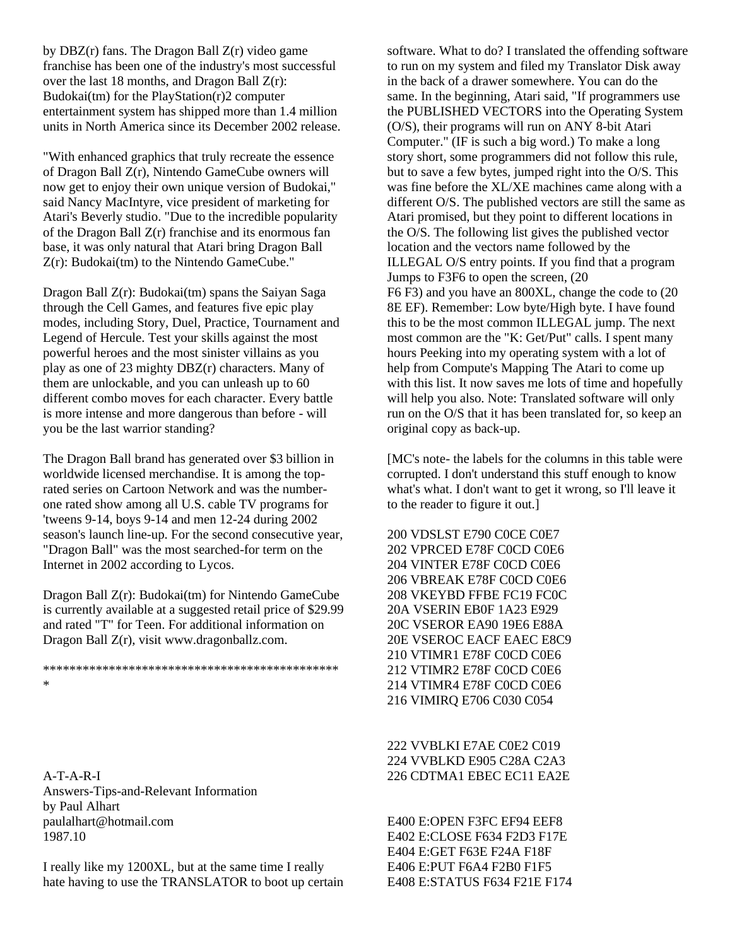by DBZ(r) fans. The Dragon Ball Z(r) video game franchise has been one of the industry's most successful over the last 18 months, and Dragon Ball Z(r): Budokai(tm) for the PlayStation(r)2 computer entertainment system has shipped more than 1.4 million units in North America since its December 2002 release.

"With enhanced graphics that truly recreate the essence of Dragon Ball Z(r), Nintendo GameCube owners will now get to enjoy their own unique version of Budokai," said Nancy MacIntyre, vice president of marketing for Atari's Beverly studio. "Due to the incredible popularity of the Dragon Ball Z(r) franchise and its enormous fan base, it was only natural that Atari bring Dragon Ball Z(r): Budokai(tm) to the Nintendo GameCube."

Dragon Ball  $Z(r)$ : Budokai $(tm)$  spans the Saiyan Saga through the Cell Games, and features five epic play modes, including Story, Duel, Practice, Tournament and Legend of Hercule. Test your skills against the most powerful heroes and the most sinister villains as you play as one of 23 mighty DBZ(r) characters. Many of them are unlockable, and you can unleash up to 60 different combo moves for each character. Every battle is more intense and more dangerous than before - will you be the last warrior standing?

The Dragon Ball brand has generated over \$3 billion in worldwide licensed merchandise. It is among the toprated series on Cartoon Network and was the numberone rated show among all U.S. cable TV programs for 'tweens 9-14, boys 9-14 and men 12-24 during 2002 season's launch line-up. For the second consecutive year, "Dragon Ball" was the most searched-for term on the Internet in 2002 according to Lycos.

Dragon Ball Z(r): Budokai(tm) for Nintendo GameCube is currently available at a suggested retail price of \$29.99 and rated "T" for Teen. For additional information on Dragon Ball Z(r), visit www.dragonballz.com.

\*\*\*\*\*\*\*\*\*\*\*\*\*\*\*\*\*\*\*\*\*\*\*\*\*\*\*\*\*\*\*\*\*\*\*\*\*\*\*\*\*\*\*\*\* \*

A-T-A-R-I Answers-Tips-and-Relevant Information by Paul Alhart paulalhart@hotmail.com 1987.10

I really like my 1200XL, but at the same time I really hate having to use the TRANSLATOR to boot up certain software. What to do? I translated the offending software to run on my system and filed my Translator Disk away in the back of a drawer somewhere. You can do the same. In the beginning, Atari said, "If programmers use the PUBLISHED VECTORS into the Operating System (O/S), their programs will run on ANY 8-bit Atari Computer." (IF is such a big word.) To make a long story short, some programmers did not follow this rule, but to save a few bytes, jumped right into the O/S. This was fine before the XL/XE machines came along with a different O/S. The published vectors are still the same as Atari promised, but they point to different locations in the O/S. The following list gives the published vector location and the vectors name followed by the ILLEGAL O/S entry points. If you find that a program Jumps to F3F6 to open the screen, (20 F6 F3) and you have an 800XL, change the code to (20 8E EF). Remember: Low byte/High byte. I have found this to be the most common ILLEGAL jump. The next most common are the "K: Get/Put" calls. I spent many hours Peeking into my operating system with a lot of help from Compute's Mapping The Atari to come up with this list. It now saves me lots of time and hopefully will help you also. Note: Translated software will only run on the O/S that it has been translated for, so keep an original copy as back-up.

[MC's note- the labels for the columns in this table were corrupted. I don't understand this stuff enough to know what's what. I don't want to get it wrong, so I'll leave it to the reader to figure it out.]

200 VDSLST E790 C0CE C0E7 202 VPRCED E78F C0CD C0E6 204 VINTER E78F C0CD C0E6 206 VBREAK E78F C0CD C0E6 208 VKEYBD FFBE FC19 FC0C 20A VSERIN EB0F 1A23 E929 20C VSEROR EA90 19E6 E88A 20E VSEROC EACF EAEC E8C9 210 VTIMR1 E78F C0CD C0E6 212 VTIMR2 E78F C0CD C0E6 214 VTIMR4 E78F C0CD C0E6 216 VIMIRQ E706 C030 C054

222 VVBLKI E7AE C0E2 C019 224 VVBLKD E905 C28A C2A3 226 CDTMA1 EBEC EC11 EA2E

E400 E:OPEN F3FC EF94 EEF8 E402 E:CLOSE F634 F2D3 F17E E404 E:GET F63E F24A F18F E406 E:PUT F6A4 F2B0 F1F5 E408 E:STATUS F634 F21E F174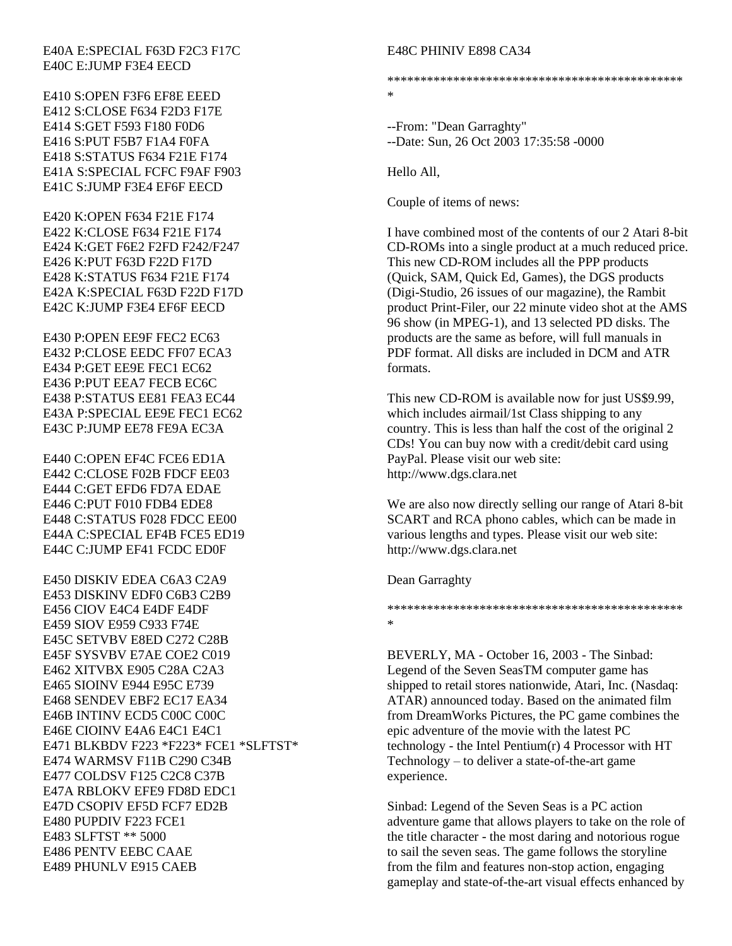#### E40A E:SPECIAL F63D F2C3 F17C E40C E:JUMP F3E4 EECD

E410 S:OPEN F3F6 EF8E EEED E412 S:CLOSE F634 F2D3 F17E E414 S:GET F593 F180 F0D6 E416 S:PUT F5B7 F1A4 F0FA E418 S:STATUS F634 F21E F174 E41A S:SPECIAL FCFC F9AF F903 E41C S:JUMP F3E4 EF6F EECD

E420 K:OPEN F634 F21E F174 E422 K:CLOSE F634 F21E F174 E424 K:GET F6E2 F2FD F242/F247 E426 K:PUT F63D F22D F17D E428 K:STATUS F634 F21E F174 E42A K:SPECIAL F63D F22D F17D E42C K:JUMP F3E4 EF6F EECD

E430 P:OPEN EE9F FEC2 EC63 E432 P:CLOSE EEDC FF07 ECA3 E434 P:GET EE9E FEC1 EC62 E436 P:PUT EEA7 FECB EC6C E438 P:STATUS EE81 FEA3 EC44 E43A P:SPECIAL EE9E FEC1 EC62 E43C P:JUMP EE78 FE9A EC3A

E440 C:OPEN EF4C FCE6 ED1A E442 C:CLOSE F02B FDCF EE03 E444 C:GET EFD6 FD7A EDAE E446 C:PUT F010 FDB4 EDE8 E448 C:STATUS F028 FDCC EE00 E44A C:SPECIAL EF4B FCE5 ED19 E44C C:JUMP EF41 FCDC ED0F

E450 DISKIV EDEA C6A3 C2A9 E453 DISKINV EDF0 C6B3 C2B9 E456 CIOV E4C4 E4DF E4DF E459 SIOV E959 C933 F74E E45C SETVBV E8ED C272 C28B E45F SYSVBV E7AE COE2 C019 E462 XITVBX E905 C28A C2A3 E465 SIOINV E944 E95C E739 E468 SENDEV EBF2 EC17 EA34 E46B INTINV ECD5 C00C C00C E46E CIOINV E4A6 E4C1 E4C1 E471 BLKBDV F223 \*F223\* FCE1 \*SLFTST\* E474 WARMSV F11B C290 C34B E477 COLDSV F125 C2C8 C37B E47A RBLOKV EFE9 FD8D EDC1 E47D CSOPIV EF5D FCF7 ED2B E480 PUPDIV F223 FCE1 E483 SLFTST \*\* 5000 E486 PENTV EEBC CAAE E489 PHUNLV E915 CAEB

#### E48C PHINIV E898 CA34

#### \*\*\*\*\*\*\*\*\*\*\*\*\*\*\*\*\*\*\*\*\*\*\*\*\*\*\*\*\*\*\*\*\*\*\*\*\*\*\*\*\*\*\*\*\* \*

--From: "Dean Garraghty" --Date: Sun, 26 Oct 2003 17:35:58 -0000

Hello All,

Couple of items of news:

I have combined most of the contents of our 2 Atari 8-bit CD-ROMs into a single product at a much reduced price. This new CD-ROM includes all the PPP products (Quick, SAM, Quick Ed, Games), the DGS products (Digi-Studio, 26 issues of our magazine), the Rambit product Print-Filer, our 22 minute video shot at the AMS 96 show (in MPEG-1), and 13 selected PD disks. The products are the same as before, will full manuals in PDF format. All disks are included in DCM and ATR formats.

This new CD-ROM is available now for just US\$9.99, which includes airmail/1st Class shipping to any country. This is less than half the cost of the original 2 CDs! You can buy now with a credit/debit card using PayPal. Please visit our web site: http://www.dgs.clara.net

We are also now directly selling our range of Atari 8-bit SCART and RCA phono cables, which can be made in various lengths and types. Please visit our web site: http://www.dgs.clara.net

Dean Garraghty

\*\*\*\*\*\*\*\*\*\*\*\*\*\*\*\*\*\*\*\*\*\*\*\*\*\*\*\*\*\*\*\*\*\*\*\*\*\*\*\*\*\*\*\*\* \*

BEVERLY, MA - October 16, 2003 - The Sinbad: Legend of the Seven SeasTM computer game has shipped to retail stores nationwide, Atari, Inc. (Nasdaq: ATAR) announced today. Based on the animated film from DreamWorks Pictures, the PC game combines the epic adventure of the movie with the latest PC technology - the Intel Pentium(r) 4 Processor with HT Technology – to deliver a state-of-the-art game experience.

Sinbad: Legend of the Seven Seas is a PC action adventure game that allows players to take on the role of the title character - the most daring and notorious rogue to sail the seven seas. The game follows the storyline from the film and features non-stop action, engaging gameplay and state-of-the-art visual effects enhanced by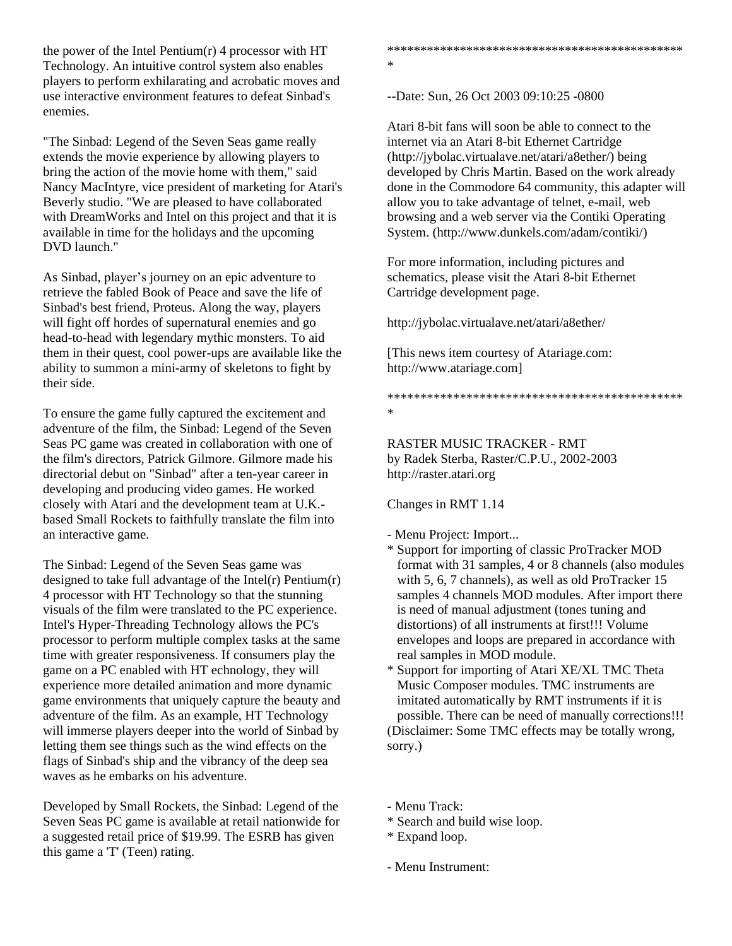the power of the Intel Pentium $(r)$  4 processor with HT Technology. An intuitive control system also enables players to perform exhilarating and acrobatic moves and use interactive environment features to defeat Sinbad's enemies.

"The Sinbad: Legend of the Seven Seas game really extends the movie experience by allowing players to bring the action of the movie home with them," said Nancy MacIntyre, vice president of marketing for Atari's Beverly studio. "We are pleased to have collaborated with DreamWorks and Intel on this project and that it is available in time for the holidays and the upcoming DVD launch."

As Sinbad, player's journey on an epic adventure to retrieve the fabled Book of Peace and save the life of Sinbad's best friend, Proteus. Along the way, players will fight off hordes of supernatural enemies and go head-to-head with legendary mythic monsters. To aid them in their quest, cool power-ups are available like the ability to summon a mini-army of skeletons to fight by their side.

To ensure the game fully captured the excitement and adventure of the film, the Sinbad: Legend of the Seven Seas PC game was created in collaboration with one of the film's directors, Patrick Gilmore. Gilmore made his directorial debut on "Sinbad" after a ten-year career in developing and producing video games. He worked closely with Atari and the development team at U.K. based Small Rockets to faithfully translate the film into an interactive game.

The Sinbad: Legend of the Seven Seas game was designed to take full advantage of the Intel(r) Pentium(r) 4 processor with HT Technology so that the stunning visuals of the film were translated to the PC experience. Intel's Hyper-Threading Technology allows the PC's processor to perform multiple complex tasks at the same time with greater responsiveness. If consumers play the game on a PC enabled with HT echnology, they will experience more detailed animation and more dynamic game environments that uniquely capture the beauty and adventure of the film. As an example, HT Technology will immerse players deeper into the world of Sinbad by letting them see things such as the wind effects on the flags of Sinbad's ship and the vibrancy of the deep sea waves as he embarks on his adventure.

Developed by Small Rockets, the Sinbad: Legend of the Seven Seas PC game is available at retail nationwide for a suggested retail price of \$19.99. The ESRB has given this game a 'T' (Teen) rating.

\*\*\*\*\*\*\*\*\*\*\*\*\*\*\*\*\*\*\*\*\*\*\*\*\*\*\*\*\*\*\*\*\*\*\*\*\*\*\*\*\*\*\*\*\* \*

--Date: Sun, 26 Oct 2003 09:10:25 -0800

Atari 8-bit fans will soon be able to connect to the internet via an Atari 8-bit Ethernet Cartridge (http://jybolac.virtualave.net/atari/a8ether/) being developed by Chris Martin. Based on the work already done in the Commodore 64 community, this adapter will allow you to take advantage of telnet, e-mail, web browsing and a web server via the Contiki Operating System. (http://www.dunkels.com/adam/contiki/)

For more information, including pictures and schematics, please visit the Atari 8-bit Ethernet Cartridge development page.

http://jybolac.virtualave.net/atari/a8ether/

[This news item courtesy of Atariage.com: http://www.atariage.com]

\*\*\*\*\*\*\*\*\*\*\*\*\*\*\*\*\*\*\*\*\*\*\*\*\*\*\*\*\*\*\*\*\*\*\*\*\*\*\*\*\*\*\*\*\* \*

RASTER MUSIC TRACKER - RMT by Radek Sterba, Raster/C.P.U., 2002-2003 http://raster.atari.org

Changes in RMT 1.14

- Menu Project: Import...
- \* Support for importing of classic ProTracker MOD format with 31 samples, 4 or 8 channels (also modules with 5, 6, 7 channels), as well as old ProTracker 15 samples 4 channels MOD modules. After import there is need of manual adjustment (tones tuning and distortions) of all instruments at first!!! Volume envelopes and loops are prepared in accordance with real samples in MOD module.
- \* Support for importing of Atari XE/XL TMC Theta Music Composer modules. TMC instruments are imitated automatically by RMT instruments if it is possible. There can be need of manually corrections!!! (Disclaimer: Some TMC effects may be totally wrong, sorry.)

- Menu Track:

\* Search and build wise loop.

\* Expand loop.

- Menu Instrument: